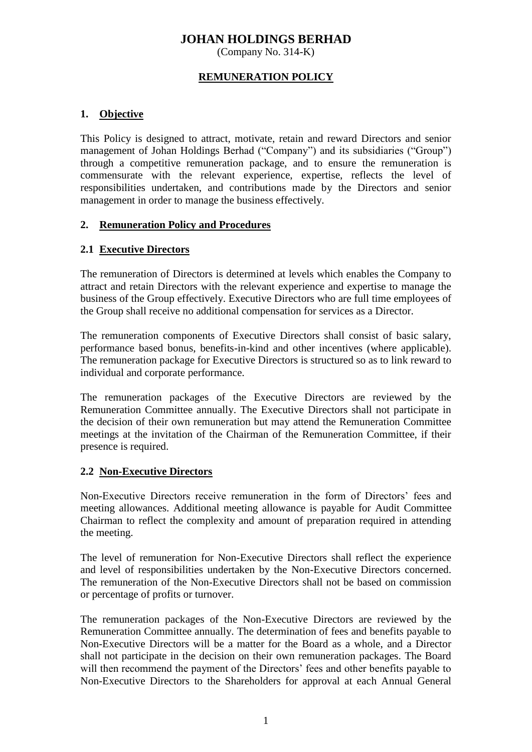# **JOHAN HOLDINGS BERHAD**

(Company No. 314-K)

#### **REMUNERATION POLICY**

### **1. Objective**

This Policy is designed to attract, motivate, retain and reward Directors and senior management of Johan Holdings Berhad ("Company") and its subsidiaries ("Group") through a competitive remuneration package, and to ensure the remuneration is commensurate with the relevant experience, expertise, reflects the level of responsibilities undertaken, and contributions made by the Directors and senior management in order to manage the business effectively.

#### **2. Remuneration Policy and Procedures**

#### **2.1 Executive Directors**

The remuneration of Directors is determined at levels which enables the Company to attract and retain Directors with the relevant experience and expertise to manage the business of the Group effectively. Executive Directors who are full time employees of the Group shall receive no additional compensation for services as a Director.

The remuneration components of Executive Directors shall consist of basic salary, performance based bonus, benefits-in-kind and other incentives (where applicable). The remuneration package for Executive Directors is structured so as to link reward to individual and corporate performance.

The remuneration packages of the Executive Directors are reviewed by the Remuneration Committee annually. The Executive Directors shall not participate in the decision of their own remuneration but may attend the Remuneration Committee meetings at the invitation of the Chairman of the Remuneration Committee, if their presence is required.

#### **2.2 Non-Executive Directors**

Non-Executive Directors receive remuneration in the form of Directors' fees and meeting allowances. Additional meeting allowance is payable for Audit Committee Chairman to reflect the complexity and amount of preparation required in attending the meeting.

The level of remuneration for Non-Executive Directors shall reflect the experience and level of responsibilities undertaken by the Non-Executive Directors concerned. The remuneration of the Non-Executive Directors shall not be based on commission or percentage of profits or turnover.

The remuneration packages of the Non-Executive Directors are reviewed by the Remuneration Committee annually. The determination of fees and benefits payable to Non-Executive Directors will be a matter for the Board as a whole, and a Director shall not participate in the decision on their own remuneration packages. The Board will then recommend the payment of the Directors' fees and other benefits payable to Non-Executive Directors to the Shareholders for approval at each Annual General